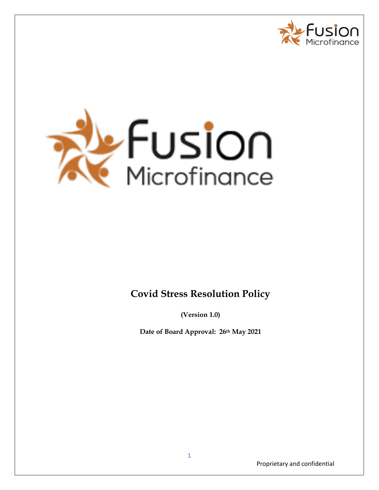



# **Covid Stress Resolution Policy**

**(Version 1.0)**

**Date of Board Approval: 26th May 2021**

Proprietary and confidential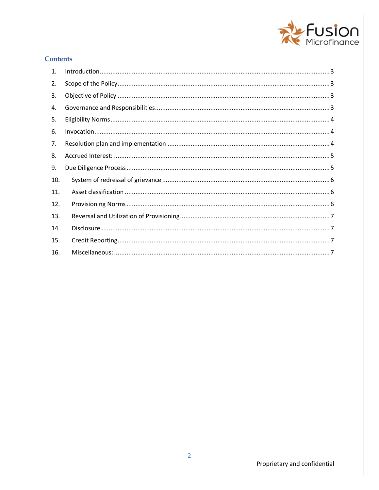

## **Contents**

| $\mathbf{1}$ . |  |
|----------------|--|
| 2.             |  |
| 3.             |  |
| 4.             |  |
| 5.             |  |
| 6.             |  |
| 7.             |  |
| 8.             |  |
| 9.             |  |
| 10.            |  |
| 11.            |  |
| 12.            |  |
| 13.            |  |
| 14.            |  |
| 15.            |  |
| 16.            |  |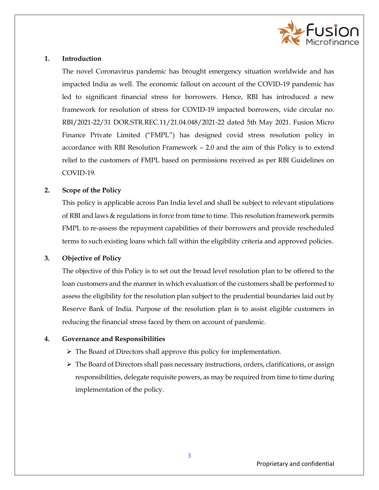

#### <span id="page-2-0"></span>**1. Introduction**

The novel Coronavirus pandemic has brought emergency situation worldwide and has impacted India as well. The economic fallout on account of the COVID-19 pandemic has led to significant financial stress for borrowers. Hence, RBI has introduced a new framework for resolution of stress for COVID-19 impacted borrowers, vide circular no. RBI/2021-22/31 DOR.STR.REC.11/21.04.048/2021-22 dated 5th May 2021. Fusion Micro Finance Private Limited ("FMPL") has designed covid stress resolution policy in accordance with RBI Resolution Framework – 2.0 and the aim of this Policy is to extend relief to the customers of FMPL based on permissions received as per RBI Guidelines on COVID-19.

#### <span id="page-2-1"></span>**2. Scope of the Policy**

This policy is applicable across Pan India level and shall be subject to relevant stipulations of RBI and laws & regulations in force from time to time. This resolution framework permits FMPL to re-assess the repayment capabilities of their borrowers and provide rescheduled terms to such existing loans which fall within the eligibility criteria and approved policies.

#### <span id="page-2-2"></span>**3. Objective of Policy**

The objective of this Policy is to set out the broad level resolution plan to be offered to the loan customers and the manner in which evaluation of the customers shall be performed to assess the eligibility for the resolution plan subject to the prudential boundaries laid out by Reserve Bank of India. Purpose of the resolution plan is to assist eligible customers in reducing the financial stress faced by them on account of pandemic.

#### <span id="page-2-3"></span>**4. Governance and Responsibilities**

- $\triangleright$  The Board of Directors shall approve this policy for implementation.
- $\triangleright$  The Board of Directors shall pass necessary instructions, orders, clarifications, or assign responsibilities, delegate requisite powers, as may be required from time to time during implementation of the policy.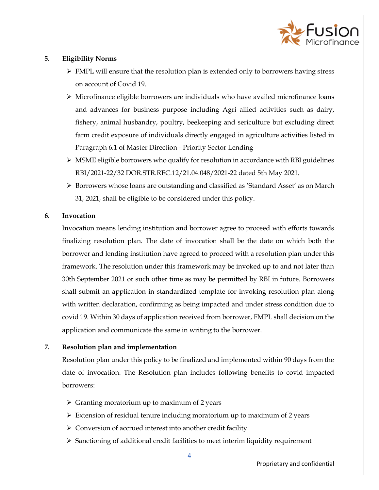

## <span id="page-3-0"></span>**5. Eligibility Norms**

- $\triangleright$  FMPL will ensure that the resolution plan is extended only to borrowers having stress on account of Covid 19.
- $\triangleright$  Microfinance eligible borrowers are individuals who have availed microfinance loans and advances for business purpose including Agri allied activities such as dairy, fishery, animal husbandry, poultry, beekeeping and sericulture but excluding direct farm credit exposure of individuals directly engaged in agriculture activities listed in Paragraph 6.1 of Master Direction - Priority Sector Lending
- $\triangleright$  MSME eligible borrowers who qualify for resolution in accordance with RBI guidelines RBI/2021-22/32 DOR.STR.REC.12/21.04.048/2021-22 dated 5th May 2021.
- $\triangleright$  Borrowers whose loans are outstanding and classified as 'Standard Asset' as on March 31, 2021, shall be eligible to be considered under this policy.

## <span id="page-3-1"></span>**6. Invocation**

Invocation means lending institution and borrower agree to proceed with efforts towards finalizing resolution plan. The date of invocation shall be the date on which both the borrower and lending institution have agreed to proceed with a resolution plan under this framework. The resolution under this framework may be invoked up to and not later than 30th September 2021 or such other time as may be permitted by RBI in future. Borrowers shall submit an application in standardized template for invoking resolution plan along with written declaration, confirming as being impacted and under stress condition due to covid 19. Within 30 days of application received from borrower, FMPL shall decision on the application and communicate the same in writing to the borrower.

## <span id="page-3-2"></span>**7. Resolution plan and implementation**

Resolution plan under this policy to be finalized and implemented within 90 days from the date of invocation. The Resolution plan includes following benefits to covid impacted borrowers:

- $\triangleright$  Granting moratorium up to maximum of 2 years
- $\triangleright$  Extension of residual tenure including moratorium up to maximum of 2 years
- $\triangleright$  Conversion of accrued interest into another credit facility
- $\triangleright$  Sanctioning of additional credit facilities to meet interim liquidity requirement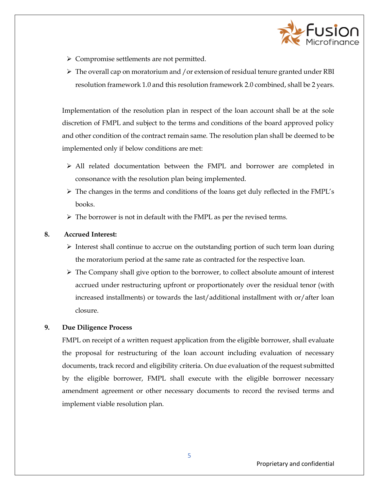

- Compromise settlements are not permitted.
- $\triangleright$  The overall cap on moratorium and /or extension of residual tenure granted under RBI resolution framework 1.0 and this resolution framework 2.0 combined, shall be 2 years.

Implementation of the resolution plan in respect of the loan account shall be at the sole discretion of FMPL and subject to the terms and conditions of the board approved policy and other condition of the contract remain same. The resolution plan shall be deemed to be implemented only if below conditions are met:

- All related documentation between the FMPL and borrower are completed in consonance with the resolution plan being implemented.
- $\triangleright$  The changes in the terms and conditions of the loans get duly reflected in the FMPL's books.
- $\triangleright$  The borrower is not in default with the FMPL as per the revised terms.

#### **8. Accrued Interest:**

- <span id="page-4-0"></span> $\triangleright$  Interest shall continue to accrue on the outstanding portion of such term loan during the moratorium period at the same rate as contracted for the respective loan.
- $\triangleright$  The Company shall give option to the borrower, to collect absolute amount of interest accrued under restructuring upfront or proportionately over the residual tenor (with increased installments) or towards the last/additional installment with or/after loan closure.

#### <span id="page-4-1"></span>**9. Due Diligence Process**

FMPL on receipt of a written request application from the eligible borrower, shall evaluate the proposal for restructuring of the loan account including evaluation of necessary documents, track record and eligibility criteria. On due evaluation of the request submitted by the eligible borrower, FMPL shall execute with the eligible borrower necessary amendment agreement or other necessary documents to record the revised terms and implement viable resolution plan.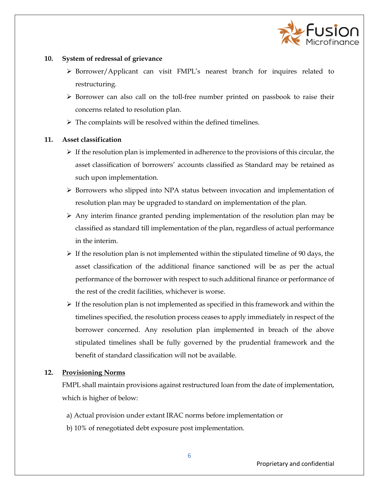

#### <span id="page-5-0"></span>**10. System of redressal of grievance**

- Borrower/Applicant can visit FMPL's nearest branch for inquires related to restructuring.
- $\triangleright$  Borrower can also call on the toll-free number printed on passbook to raise their concerns related to resolution plan.
- $\triangleright$  The complaints will be resolved within the defined timelines.

## <span id="page-5-1"></span>**11. Asset classification**

- $\triangleright$  If the resolution plan is implemented in adherence to the provisions of this circular, the asset classification of borrowers' accounts classified as Standard may be retained as such upon implementation.
- $\triangleright$  Borrowers who slipped into NPA status between invocation and implementation of resolution plan may be upgraded to standard on implementation of the plan.
- $\triangleright$  Any interim finance granted pending implementation of the resolution plan may be classified as standard till implementation of the plan, regardless of actual performance in the interim.
- $\triangleright$  If the resolution plan is not implemented within the stipulated timeline of 90 days, the asset classification of the additional finance sanctioned will be as per the actual performance of the borrower with respect to such additional finance or performance of the rest of the credit facilities, whichever is worse.
- $\triangleright$  If the resolution plan is not implemented as specified in this framework and within the timelines specified, the resolution process ceases to apply immediately in respect of the borrower concerned. Any resolution plan implemented in breach of the above stipulated timelines shall be fully governed by the prudential framework and the benefit of standard classification will not be available.

## <span id="page-5-2"></span>**12. Provisioning Norms**

FMPL shall maintain provisions against restructured loan from the date of implementation, which is higher of below:

- a) Actual provision under extant IRAC norms before implementation or
- b) 10% of renegotiated debt exposure post implementation.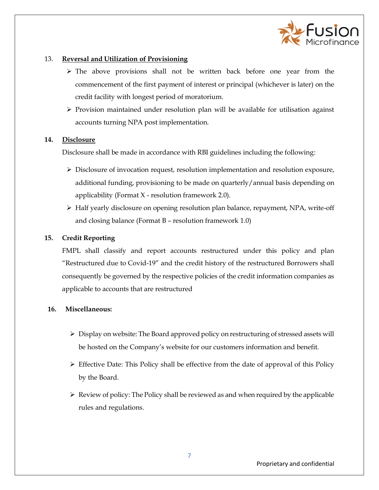

### <span id="page-6-0"></span>13. **Reversal and Utilization of Provisioning**

- $\triangleright$  The above provisions shall not be written back before one year from the commencement of the first payment of interest or principal (whichever is later) on the credit facility with longest period of moratorium.
- $\triangleright$  Provision maintained under resolution plan will be available for utilisation against accounts turning NPA post implementation.

#### <span id="page-6-1"></span>**14. Disclosure**

Disclosure shall be made in accordance with RBI guidelines including the following:

- Disclosure of invocation request, resolution implementation and resolution exposure, additional funding, provisioning to be made on quarterly/annual basis depending on applicability (Format  $X$  - resolution framework 2.0).
- $\triangleright$  Half yearly disclosure on opening resolution plan balance, repayment, NPA, write-off and closing balance (Format B – resolution framework 1.0)

## <span id="page-6-2"></span>**15. Credit Reporting**

FMPL shall classify and report accounts restructured under this policy and plan "Restructured due to Covid-19" and the credit history of the restructured Borrowers shall consequently be governed by the respective policies of the credit information companies as applicable to accounts that are restructured

#### <span id="page-6-3"></span>**16. Miscellaneous:**

- $\triangleright$  Display on website: The Board approved policy on restructuring of stressed assets will be hosted on the Company's website for our customers information and benefit.
- $\triangleright$  Effective Date: This Policy shall be effective from the date of approval of this Policy by the Board.
- $\triangleright$  Review of policy: The Policy shall be reviewed as and when required by the applicable rules and regulations.